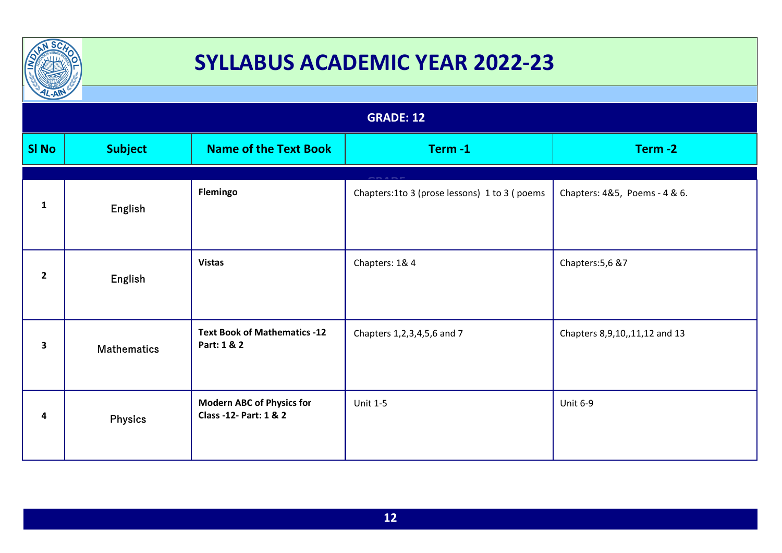

| $L-AW$<br><b>GRADE: 12</b> |                    |                                                            |                                              |                                  |
|----------------------------|--------------------|------------------------------------------------------------|----------------------------------------------|----------------------------------|
| <b>SI No</b>               | <b>Subject</b>     | <b>Name of the Text Book</b>                               | Term-1                                       | Term-2                           |
| $\mathbf{1}$               | English            | Flemingo                                                   | Chapters:1to 3 (prose lessons) 1 to 3 (poems | Chapters: 4&5, Poems - 4 & 6.    |
| $\overline{2}$             | English            | <b>Vistas</b>                                              | Chapters: 1& 4                               | Chapters: 5,6 & 7                |
| 3                          | <b>Mathematics</b> | <b>Text Book of Mathematics -12</b><br>Part: 1 & 2         | Chapters 1,2,3,4,5,6 and 7                   | Chapters 8, 9, 10, 11, 12 and 13 |
| 4                          | <b>Physics</b>     | <b>Modern ABC of Physics for</b><br>Class -12- Part: 1 & 2 | <b>Unit 1-5</b>                              | <b>Unit 6-9</b>                  |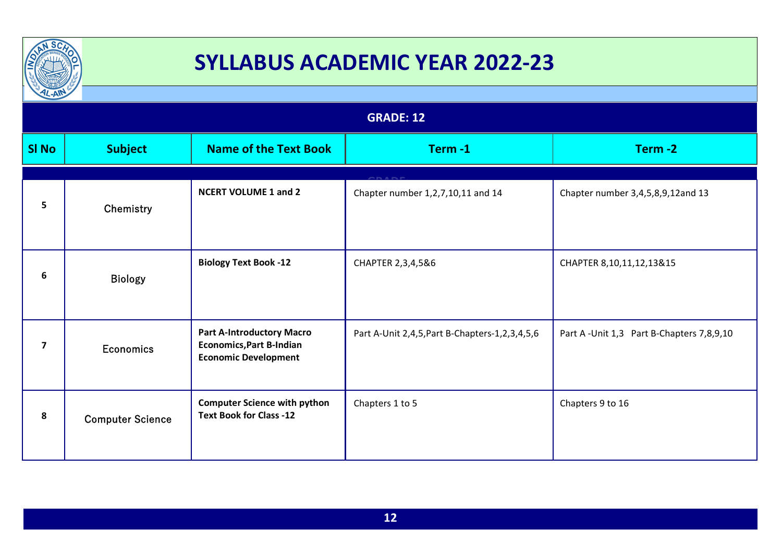

| $\frac{1}{2}$<br><b>GRADE: 12</b> |                         |                                                                                                    |                                                     |                                           |  |
|-----------------------------------|-------------------------|----------------------------------------------------------------------------------------------------|-----------------------------------------------------|-------------------------------------------|--|
|                                   |                         |                                                                                                    |                                                     |                                           |  |
| <b>SI No</b>                      | <b>Subject</b>          | <b>Name of the Text Book</b>                                                                       | Term-1                                              | Term-2                                    |  |
|                                   |                         |                                                                                                    |                                                     |                                           |  |
| 5                                 | Chemistry               | <b>NCERT VOLUME 1 and 2</b>                                                                        | Chapter number 1,2,7,10,11 and 14                   | Chapter number 3,4,5,8,9,12and 13         |  |
| 6                                 | <b>Biology</b>          | <b>Biology Text Book -12</b>                                                                       | CHAPTER 2,3,4,5&6                                   | CHAPTER 8,10,11,12,13&15                  |  |
| $\overline{\mathbf{z}}$           | <b>Economics</b>        | <b>Part A-Introductory Macro</b><br><b>Economics, Part B-Indian</b><br><b>Economic Development</b> | Part A-Unit 2,4,5, Part B-Chapters-1, 2, 3, 4, 5, 6 | Part A -Unit 1,3 Part B-Chapters 7,8,9,10 |  |
| 8                                 | <b>Computer Science</b> | <b>Computer Science with python</b><br><b>Text Book for Class -12</b>                              | Chapters 1 to 5                                     | Chapters 9 to 16                          |  |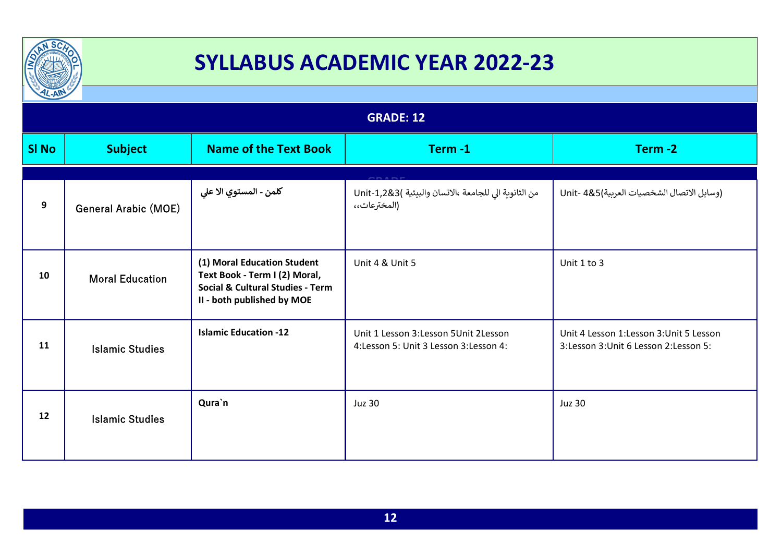

| $\frac{1}{2}$    |                             |                                                                                                                                           |                                                                                    |                                                                                   |
|------------------|-----------------------------|-------------------------------------------------------------------------------------------------------------------------------------------|------------------------------------------------------------------------------------|-----------------------------------------------------------------------------------|
| <b>GRADE: 12</b> |                             |                                                                                                                                           |                                                                                    |                                                                                   |
| <b>SI No</b>     | <b>Subject</b>              | <b>Name of the Text Book</b>                                                                                                              | Term-1                                                                             | Term-2                                                                            |
| 9                | <b>General Arabic (MOE)</b> | كلمن - المستوي الا علي                                                                                                                    | من الثانوية الي للجامعة ،الانسان والبيئية )Unit-1,2&3<br>(المخترعات،،              | (وسايل الاتصال الشخصيات العربية)Unit- 4&5                                         |
| 10               | <b>Moral Education</b>      | (1) Moral Education Student<br>Text Book - Term I (2) Moral,<br><b>Social &amp; Cultural Studies - Term</b><br>II - both published by MOE | Unit 4 & Unit 5                                                                    | Unit 1 to 3                                                                       |
| 11               | <b>Islamic Studies</b>      | <b>Islamic Education -12</b>                                                                                                              | Unit 1 Lesson 3: Lesson 5 Unit 2 Lesson<br>4: Lesson 5: Unit 3 Lesson 3: Lesson 4: | Unit 4 Lesson 1:Lesson 3:Unit 5 Lesson<br>3: Lesson 3: Unit 6 Lesson 2: Lesson 5: |
| 12               | <b>Islamic Studies</b>      | Qura`n                                                                                                                                    | <b>Juz 30</b>                                                                      | <b>Juz 30</b>                                                                     |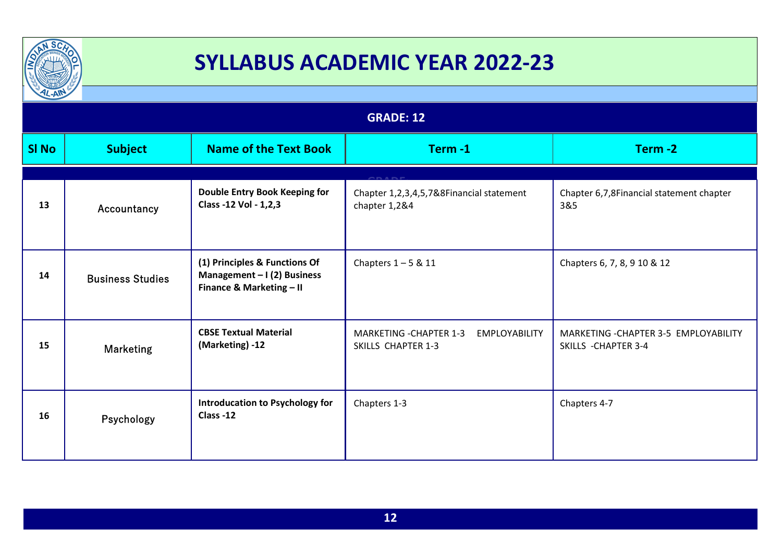

| $L - A$          |                         |                                                                                          |                                                                              |                                                               |
|------------------|-------------------------|------------------------------------------------------------------------------------------|------------------------------------------------------------------------------|---------------------------------------------------------------|
| <b>GRADE: 12</b> |                         |                                                                                          |                                                                              |                                                               |
| <b>SI No</b>     | <b>Subject</b>          | <b>Name of the Text Book</b>                                                             | Term-1                                                                       | Term-2                                                        |
|                  |                         |                                                                                          |                                                                              |                                                               |
| 13               | Accountancy             | <b>Double Entry Book Keeping for</b><br>Class -12 Vol - 1,2,3                            | Chapter 1,2,3,4,5,7&8Financial statement<br>chapter 1,2&4                    | Chapter 6,7,8Financial statement chapter<br>3&5               |
| 14               | <b>Business Studies</b> | (1) Principles & Functions Of<br>Management $-1(2)$ Business<br>Finance & Marketing - II | Chapters $1 - 5$ & 11                                                        | Chapters 6, 7, 8, 9 10 & 12                                   |
| 15               | <b>Marketing</b>        | <b>CBSE Textual Material</b><br>(Marketing) -12                                          | MARKETING - CHAPTER 1-3<br><b>EMPLOYABILITY</b><br><b>SKILLS CHAPTER 1-3</b> | MARKETING - CHAPTER 3-5 EMPLOYABILITY<br>SKILLS - CHAPTER 3-4 |
| 16               | Psychology              | <b>Introducation to Psychology for</b><br>Class-12                                       | Chapters 1-3                                                                 | Chapters 4-7                                                  |